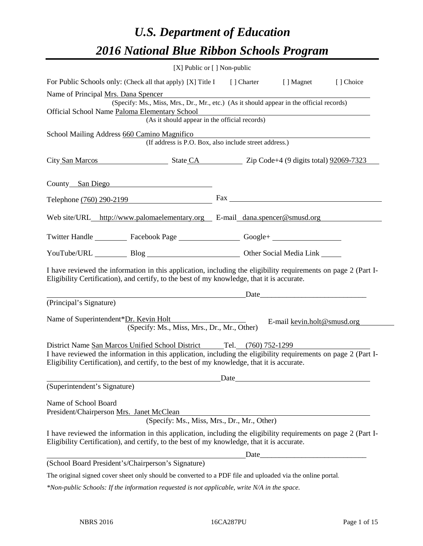# *U.S. Department of Education 2016 National Blue Ribbon Schools Program*

| [X] Public or [] Non-public                                                                                                                                                                                  |                                                                                                                       |           |
|--------------------------------------------------------------------------------------------------------------------------------------------------------------------------------------------------------------|-----------------------------------------------------------------------------------------------------------------------|-----------|
| For Public Schools only: (Check all that apply) [X] Title I [] Charter [] Magnet                                                                                                                             |                                                                                                                       | [] Choice |
| Name of Principal Mrs. Dana Spencer                                                                                                                                                                          |                                                                                                                       |           |
| (Specify: Ms., Miss, Mrs., Dr., Mr., etc.) (As it should appear in the official records)                                                                                                                     |                                                                                                                       |           |
| Official School Name Paloma Elementary School<br>(As it should appear in the official records)                                                                                                               | <u> 1980 - Johann Stoff, deutscher Stoff, der Stoff, der Stoff, der Stoff, der Stoff, der Stoff, der Stoff, der S</u> |           |
|                                                                                                                                                                                                              |                                                                                                                       |           |
| School Mailing Address 660 Camino Magnifico<br>(If address is P.O. Box, also include street address.)                                                                                                        |                                                                                                                       |           |
|                                                                                                                                                                                                              |                                                                                                                       |           |
| City San Marcos State CA Zip Code+4 (9 digits total) 92069-7323                                                                                                                                              |                                                                                                                       |           |
| County San Diego                                                                                                                                                                                             |                                                                                                                       |           |
|                                                                                                                                                                                                              |                                                                                                                       |           |
| Telephone $(760)$ 290-2199                                                                                                                                                                                   |                                                                                                                       |           |
| Web site/URL_http://www.palomaelementary.org E-mail_dana.spencer@smusd.org                                                                                                                                   |                                                                                                                       |           |
| Twitter Handle ____________ Facebook Page ____________________ Google+ _____________________________                                                                                                         |                                                                                                                       |           |
| YouTube/URL Blog Blog Cher Social Media Link                                                                                                                                                                 |                                                                                                                       |           |
| I have reviewed the information in this application, including the eligibility requirements on page 2 (Part I-<br>Eligibility Certification), and certify, to the best of my knowledge, that it is accurate. |                                                                                                                       |           |
| (Principal's Signature)                                                                                                                                                                                      |                                                                                                                       |           |
| Name of Superintendent*Dr. Kevin Holt<br>(Specify: Ms., Miss, Mrs., Dr., Mr., Other)                                                                                                                         | E-mail kevin.holt@smusd.org                                                                                           |           |
| District Name San Marcos Unified School District Tel. (760) 752-1299                                                                                                                                         |                                                                                                                       |           |
| I have reviewed the information in this application, including the eligibility requirements on page 2 (Part I-<br>Eligibility Certification), and certify, to the best of my knowledge, that it is accurate. |                                                                                                                       |           |
|                                                                                                                                                                                                              |                                                                                                                       |           |
| (Superintendent's Signature)                                                                                                                                                                                 |                                                                                                                       |           |
| Name of School Board<br>President/Chairperson Mrs. Janet McClean<br>(Specify: Ms., Miss, Mrs., Dr., Mr., Other)                                                                                              |                                                                                                                       |           |
| I have reviewed the information in this application, including the eligibility requirements on page 2 (Part I-<br>Eligibility Certification), and certify, to the best of my knowledge, that it is accurate. |                                                                                                                       |           |
|                                                                                                                                                                                                              |                                                                                                                       |           |
| (School Board President's/Chairperson's Signature)                                                                                                                                                           |                                                                                                                       |           |
| The original signed cover sheet only should be converted to a PDF file and uploaded via the online portal.                                                                                                   |                                                                                                                       |           |

*\*Non-public Schools: If the information requested is not applicable, write N/A in the space.*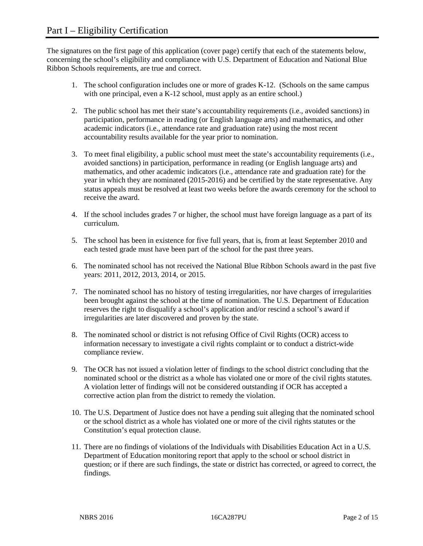The signatures on the first page of this application (cover page) certify that each of the statements below, concerning the school's eligibility and compliance with U.S. Department of Education and National Blue Ribbon Schools requirements, are true and correct.

- 1. The school configuration includes one or more of grades K-12. (Schools on the same campus with one principal, even a K-12 school, must apply as an entire school.)
- 2. The public school has met their state's accountability requirements (i.e., avoided sanctions) in participation, performance in reading (or English language arts) and mathematics, and other academic indicators (i.e., attendance rate and graduation rate) using the most recent accountability results available for the year prior to nomination.
- 3. To meet final eligibility, a public school must meet the state's accountability requirements (i.e., avoided sanctions) in participation, performance in reading (or English language arts) and mathematics, and other academic indicators (i.e., attendance rate and graduation rate) for the year in which they are nominated (2015-2016) and be certified by the state representative. Any status appeals must be resolved at least two weeks before the awards ceremony for the school to receive the award.
- 4. If the school includes grades 7 or higher, the school must have foreign language as a part of its curriculum.
- 5. The school has been in existence for five full years, that is, from at least September 2010 and each tested grade must have been part of the school for the past three years.
- 6. The nominated school has not received the National Blue Ribbon Schools award in the past five years: 2011, 2012, 2013, 2014, or 2015.
- 7. The nominated school has no history of testing irregularities, nor have charges of irregularities been brought against the school at the time of nomination. The U.S. Department of Education reserves the right to disqualify a school's application and/or rescind a school's award if irregularities are later discovered and proven by the state.
- 8. The nominated school or district is not refusing Office of Civil Rights (OCR) access to information necessary to investigate a civil rights complaint or to conduct a district-wide compliance review.
- 9. The OCR has not issued a violation letter of findings to the school district concluding that the nominated school or the district as a whole has violated one or more of the civil rights statutes. A violation letter of findings will not be considered outstanding if OCR has accepted a corrective action plan from the district to remedy the violation.
- 10. The U.S. Department of Justice does not have a pending suit alleging that the nominated school or the school district as a whole has violated one or more of the civil rights statutes or the Constitution's equal protection clause.
- 11. There are no findings of violations of the Individuals with Disabilities Education Act in a U.S. Department of Education monitoring report that apply to the school or school district in question; or if there are such findings, the state or district has corrected, or agreed to correct, the findings.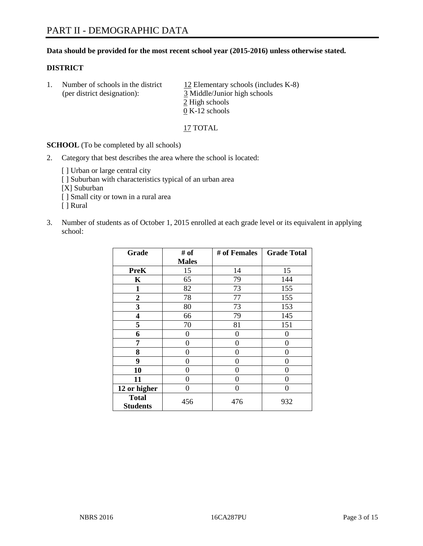#### **Data should be provided for the most recent school year (2015-2016) unless otherwise stated.**

#### **DISTRICT**

1. Number of schools in the district  $12$  Elementary schools (includes K-8) (per district designation): 3 Middle/Junior high schools 2 High schools 0 K-12 schools

17 TOTAL

**SCHOOL** (To be completed by all schools)

- 2. Category that best describes the area where the school is located:
	- [] Urban or large central city [ ] Suburban with characteristics typical of an urban area [X] Suburban [ ] Small city or town in a rural area [ ] Rural
- 3. Number of students as of October 1, 2015 enrolled at each grade level or its equivalent in applying school:

| Grade                           | # of         | # of Females | <b>Grade Total</b> |
|---------------------------------|--------------|--------------|--------------------|
|                                 | <b>Males</b> |              |                    |
| <b>PreK</b>                     | 15           | 14           | 15                 |
| K                               | 65           | 79           | 144                |
| $\mathbf{1}$                    | 82           | 73           | 155                |
| $\overline{2}$                  | 78           | 77           | 155                |
| 3                               | 80           | 73           | 153                |
| 4                               | 66           | 79           | 145                |
| 5                               | 70           | 81           | 151                |
| 6                               | 0            | $\theta$     | 0                  |
| 7                               | 0            | $\theta$     | 0                  |
| 8                               | $\theta$     | $\theta$     | 0                  |
| 9                               | 0            | $\theta$     | 0                  |
| 10                              | 0            | $\theta$     | 0                  |
| 11                              | $\theta$     | 0            | 0                  |
| 12 or higher                    | $\theta$     | 0            | 0                  |
| <b>Total</b><br><b>Students</b> | 456          | 476          | 932                |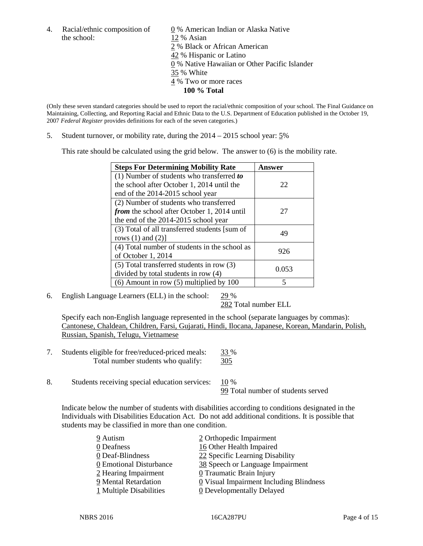the school: 12 % Asian

4. Racial/ethnic composition of  $\underline{0}$  % American Indian or Alaska Native 2 % Black or African American 42 % Hispanic or Latino 0 % Native Hawaiian or Other Pacific Islander 35 % White 4 % Two or more races **100 % Total**

(Only these seven standard categories should be used to report the racial/ethnic composition of your school. The Final Guidance on Maintaining, Collecting, and Reporting Racial and Ethnic Data to the U.S. Department of Education published in the October 19, 2007 *Federal Register* provides definitions for each of the seven categories.)

5. Student turnover, or mobility rate, during the 2014 – 2015 school year: 5%

This rate should be calculated using the grid below. The answer to (6) is the mobility rate.

| <b>Steps For Determining Mobility Rate</b>         | Answer |  |
|----------------------------------------------------|--------|--|
| (1) Number of students who transferred to          |        |  |
| the school after October 1, 2014 until the         | 22     |  |
| end of the 2014-2015 school year                   |        |  |
| (2) Number of students who transferred             |        |  |
| <i>from</i> the school after October 1, 2014 until | 27     |  |
| the end of the 2014-2015 school year               |        |  |
| (3) Total of all transferred students [sum of      | 49     |  |
| rows $(1)$ and $(2)$ ]                             |        |  |
| (4) Total number of students in the school as      | 926    |  |
| of October 1, 2014                                 |        |  |
| $(5)$ Total transferred students in row $(3)$      | 0.053  |  |
| divided by total students in row (4)               |        |  |
| $(6)$ Amount in row $(5)$ multiplied by 100        | 5      |  |

6. English Language Learners (ELL) in the school: 29 %

282 Total number ELL

Specify each non-English language represented in the school (separate languages by commas): Cantonese, Chaldean, Children, Farsi, Gujarati, Hindi, Ilocana, Japanese, Korean, Mandarin, Polish, Russian, Spanish, Telugu, Vietnamese

- 7. Students eligible for free/reduced-priced meals: 33 % Total number students who qualify: 305
- 8. Students receiving special education services:  $10\%$ 99 Total number of students served

Indicate below the number of students with disabilities according to conditions designated in the Individuals with Disabilities Education Act. Do not add additional conditions. It is possible that students may be classified in more than one condition.

| 9 Autism                | 2 Orthopedic Impairment                   |
|-------------------------|-------------------------------------------|
| 0 Deafness              | 16 Other Health Impaired                  |
| 0 Deaf-Blindness        | 22 Specific Learning Disability           |
| 0 Emotional Disturbance | 38 Speech or Language Impairment          |
| 2 Hearing Impairment    | 0 Traumatic Brain Injury                  |
| 9 Mental Retardation    | $Q$ Visual Impairment Including Blindness |
| 1 Multiple Disabilities | <b>0</b> Developmentally Delayed          |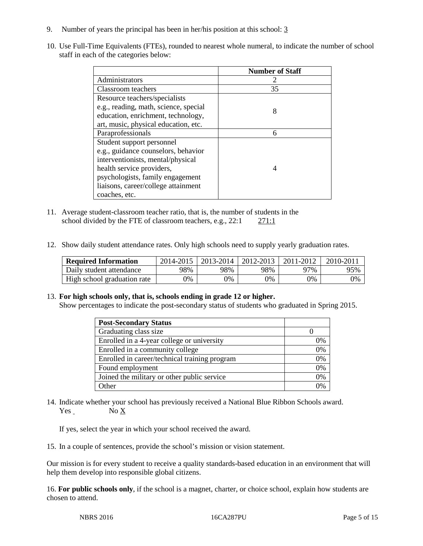- 9. Number of years the principal has been in her/his position at this school: 3
- 10. Use Full-Time Equivalents (FTEs), rounded to nearest whole numeral, to indicate the number of school staff in each of the categories below:

|                                       | <b>Number of Staff</b> |
|---------------------------------------|------------------------|
| Administrators                        |                        |
| Classroom teachers                    | 35                     |
| Resource teachers/specialists         |                        |
| e.g., reading, math, science, special | 8                      |
| education, enrichment, technology,    |                        |
| art, music, physical education, etc.  |                        |
| Paraprofessionals                     | 6                      |
| Student support personnel             |                        |
| e.g., guidance counselors, behavior   |                        |
| interventionists, mental/physical     |                        |
| health service providers,             |                        |
| psychologists, family engagement      |                        |
| liaisons, career/college attainment   |                        |
| coaches, etc.                         |                        |

- 11. Average student-classroom teacher ratio, that is, the number of students in the school divided by the FTE of classroom teachers, e.g., 22:1 271:1
- 12. Show daily student attendance rates. Only high schools need to supply yearly graduation rates.

| <b>Required Information</b> | 2014-2015 | 2013-2014 l | 2012-2013 | 2011-2012 | 2010-201 |
|-----------------------------|-----------|-------------|-----------|-----------|----------|
| Daily student attendance    | 98%       | 98%         | 98%       | 97%       | 95%      |
| High school graduation rate | 9%        | 0%          | 0%        | 9%        | 0%       |

#### 13. **For high schools only, that is, schools ending in grade 12 or higher.**

Show percentages to indicate the post-secondary status of students who graduated in Spring 2015.

| <b>Post-Secondary Status</b>                  |    |
|-----------------------------------------------|----|
| Graduating class size                         |    |
| Enrolled in a 4-year college or university    | 0% |
| Enrolled in a community college               | 0% |
| Enrolled in career/technical training program | 0% |
| Found employment                              | 0% |
| Joined the military or other public service   | 0% |
| Other                                         | 0/ |

14. Indicate whether your school has previously received a National Blue Ribbon Schools award. Yes No X

If yes, select the year in which your school received the award.

15. In a couple of sentences, provide the school's mission or vision statement.

Our mission is for every student to receive a quality standards-based education in an environment that will help them develop into responsible global citizens.

16. **For public schools only**, if the school is a magnet, charter, or choice school, explain how students are chosen to attend.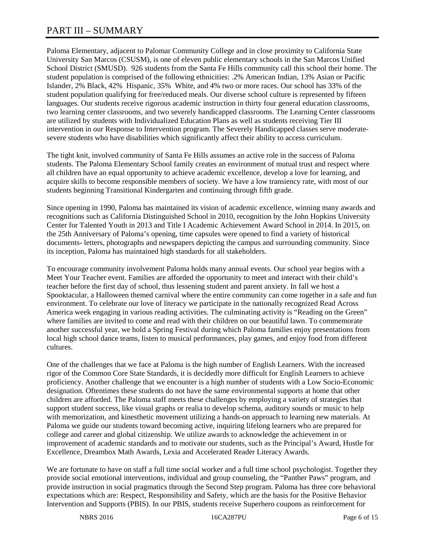# PART III – SUMMARY

Paloma Elementary, adjacent to Palomar Community College and in close proximity to California State University San Marcos (CSUSM), is one of eleven public elementary schools in the San Marcos Unified School District (SMUSD). 926 students from the Santa Fe Hills community call this school their home. The student population is comprised of the following ethnicities: .2% American Indian, 13% Asian or Pacific Islander, 2% Black, 42% Hispanic, 35% White, and 4% two or more races. Our school has 33% of the student population qualifying for free/reduced meals. Our diverse school culture is represented by fifteen languages. Our students receive rigorous academic instruction in thirty four general education classrooms, two learning center classrooms, and two severely handicapped classrooms. The Learning Center classrooms are utilized by students with Individualized Education Plans as well as students receiving Tier III intervention in our Response to Intervention program. The Severely Handicapped classes serve moderatesevere students who have disabilities which significantly affect their ability to access curriculum.

The tight knit, involved community of Santa Fe Hills assumes an active role in the success of Paloma students. The Paloma Elementary School family creates an environment of mutual trust and respect where all children have an equal opportunity to achieve academic excellence, develop a love for learning, and acquire skills to become responsible members of society. We have a low transiency rate, with most of our students beginning Transitional Kindergarten and continuing through fifth grade.

Since opening in 1990, Paloma has maintained its vision of academic excellence, winning many awards and recognitions such as California Distinguished School in 2010, recognition by the John Hopkins University Center for Talented Youth in 2013 and Title I Academic Achievement Award School in 2014. In 2015, on the 25th Anniversary of Paloma's opening, time capsules were opened to find a variety of historical documents- letters, photographs and newspapers depicting the campus and surrounding community. Since its inception, Paloma has maintained high standards for all stakeholders.

To encourage community involvement Paloma holds many annual events. Our school year begins with a Meet Your Teacher event. Families are afforded the opportunity to meet and interact with their child's teacher before the first day of school, thus lessening student and parent anxiety. In fall we host a Spooktacular, a Halloween themed carnival where the entire community can come together in a safe and fun environment. To celebrate our love of literacy we participate in the nationally recognized Read Across America week engaging in various reading activities. The culminating activity is "Reading on the Green" where families are invited to come and read with their children on our beautiful lawn. To commemorate another successful year, we hold a Spring Festival during which Paloma families enjoy presentations from local high school dance teams, listen to musical performances, play games, and enjoy food from different cultures.

One of the challenges that we face at Paloma is the high number of English Learners. With the increased rigor of the Common Core State Standards, it is decidedly more difficult for English Learners to achieve proficiency. Another challenge that we encounter is a high number of students with a Low Socio-Economic designation. Oftentimes these students do not have the same environmental supports at home that other children are afforded. The Paloma staff meets these challenges by employing a variety of strategies that support student success, like visual graphs or realia to develop schema, auditory sounds or music to help with memorization, and kinesthetic movement utilizing a hands-on approach to learning new materials. At Paloma we guide our students toward becoming active, inquiring lifelong learners who are prepared for college and career and global citizenship. We utilize awards to acknowledge the achievement in or improvement of academic standards and to motivate our students, such as the Principal's Award, Hustle for Excellence, Dreambox Math Awards, Lexia and Accelerated Reader Literacy Awards.

We are fortunate to have on staff a full time social worker and a full time school psychologist. Together they provide social emotional interventions, individual and group counseling, the "Panther Paws" program, and provide instruction in social pragmatics through the Second Step program. Paloma has three core behavioral expectations which are: Respect, Responsibility and Safety, which are the basis for the Positive Behavior Intervention and Supports (PBIS). In our PBIS, students receive Superhero coupons as reinforcement for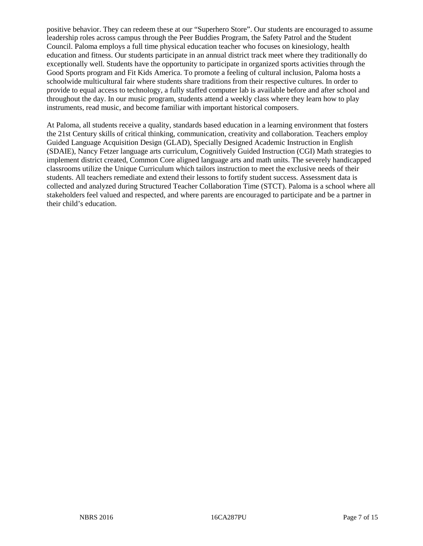positive behavior. They can redeem these at our "Superhero Store". Our students are encouraged to assume leadership roles across campus through the Peer Buddies Program, the Safety Patrol and the Student Council. Paloma employs a full time physical education teacher who focuses on kinesiology, health education and fitness. Our students participate in an annual district track meet where they traditionally do exceptionally well. Students have the opportunity to participate in organized sports activities through the Good Sports program and Fit Kids America. To promote a feeling of cultural inclusion, Paloma hosts a schoolwide multicultural fair where students share traditions from their respective cultures. In order to provide to equal access to technology, a fully staffed computer lab is available before and after school and throughout the day. In our music program, students attend a weekly class where they learn how to play instruments, read music, and become familiar with important historical composers.

At Paloma, all students receive a quality, standards based education in a learning environment that fosters the 21st Century skills of critical thinking, communication, creativity and collaboration. Teachers employ Guided Language Acquisition Design (GLAD), Specially Designed Academic Instruction in English (SDAIE), Nancy Fetzer language arts curriculum, Cognitively Guided Instruction (CGI) Math strategies to implement district created, Common Core aligned language arts and math units. The severely handicapped classrooms utilize the Unique Curriculum which tailors instruction to meet the exclusive needs of their students. All teachers remediate and extend their lessons to fortify student success. Assessment data is collected and analyzed during Structured Teacher Collaboration Time (STCT). Paloma is a school where all stakeholders feel valued and respected, and where parents are encouraged to participate and be a partner in their child's education.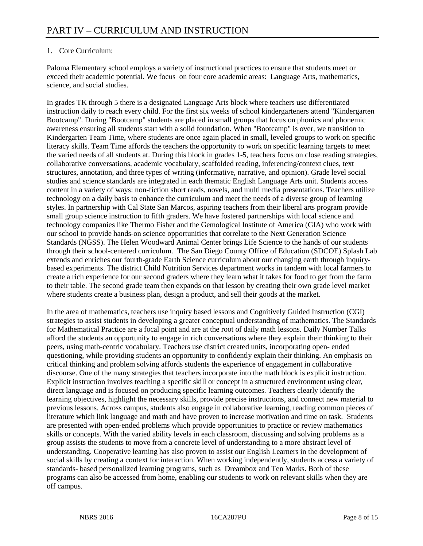## 1. Core Curriculum:

Paloma Elementary school employs a variety of instructional practices to ensure that students meet or exceed their academic potential. We focus on four core academic areas: Language Arts, mathematics, science, and social studies.

In grades TK through 5 there is a designated Language Arts block where teachers use differentiated instruction daily to reach every child. For the first six weeks of school kindergarteners attend "Kindergarten Bootcamp". During "Bootcamp" students are placed in small groups that focus on phonics and phonemic awareness ensuring all students start with a solid foundation. When "Bootcamp" is over, we transition to Kindergarten Team Time, where students are once again placed in small, leveled groups to work on specific literacy skills. Team Time affords the teachers the opportunity to work on specific learning targets to meet the varied needs of all students at. During this block in grades 1-5, teachers focus on close reading strategies, collaborative conversations, academic vocabulary, scaffolded reading, inferencing/context clues, text structures, annotation, and three types of writing (informative, narrative, and opinion). Grade level social studies and science standards are integrated in each thematic English Language Arts unit. Students access content in a variety of ways: non-fiction short reads, novels, and multi media presentations. Teachers utilize technology on a daily basis to enhance the curriculum and meet the needs of a diverse group of learning styles. In partnership with Cal State San Marcos, aspiring teachers from their liberal arts program provide small group science instruction to fifth graders. We have fostered partnerships with local science and technology companies like Thermo Fisher and the Gemological Institute of America (GIA) who work with our school to provide hands-on science opportunities that correlate to the Next Generation Science Standards (NGSS). The Helen Woodward Animal Center brings Life Science to the hands of our students through their school-centered curriculum. The San Diego County Office of Education (SDCOE) Splash Lab extends and enriches our fourth-grade Earth Science curriculum about our changing earth through inquirybased experiments. The district Child Nutrition Services department works in tandem with local farmers to create a rich experience for our second graders where they learn what it takes for food to get from the farm to their table. The second grade team then expands on that lesson by creating their own grade level market where students create a business plan, design a product, and sell their goods at the market.

In the area of mathematics, teachers use inquiry based lessons and Cognitively Guided Instruction (CGI) strategies to assist students in developing a greater conceptual understanding of mathematics. The Standards for Mathematical Practice are a focal point and are at the root of daily math lessons. Daily Number Talks afford the students an opportunity to engage in rich conversations where they explain their thinking to their peers, using math-centric vocabulary. Teachers use district created units, incorporating open- ended questioning, while providing students an opportunity to confidently explain their thinking. An emphasis on critical thinking and problem solving affords students the experience of engagement in collaborative discourse. One of the many strategies that teachers incorporate into the math block is explicit instruction. Explicit instruction involves teaching a specific skill or concept in a structured environment using clear, direct language and is focused on producing specific learning outcomes. Teachers clearly identify the learning objectives, highlight the necessary skills, provide precise instructions, and connect new material to previous lessons. Across campus, students also engage in collaborative learning, reading common pieces of literature which link language and math and have proven to increase motivation and time on task. Students are presented with open-ended problems which provide opportunities to practice or review mathematics skills or concepts. With the varied ability levels in each classroom, discussing and solving problems as a group assists the students to move from a concrete level of understanding to a more abstract level of understanding. Cooperative learning has also proven to assist our English Learners in the development of social skills by creating a context for interaction. When working independently, students access a variety of standards- based personalized learning programs, such as Dreambox and Ten Marks. Both of these programs can also be accessed from home, enabling our students to work on relevant skills when they are off campus.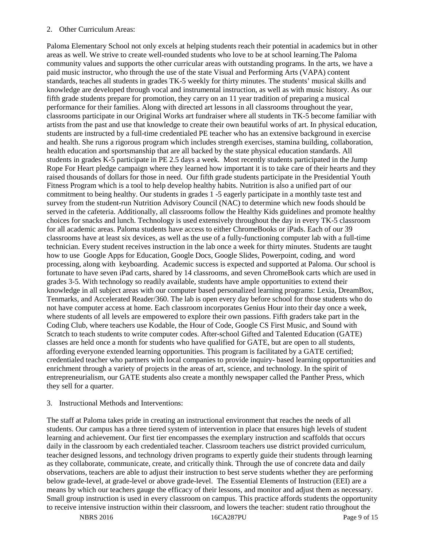#### 2. Other Curriculum Areas:

Paloma Elementary School not only excels at helping students reach their potential in academics but in other areas as well. We strive to create well-rounded students who love to be at school learning.The Paloma community values and supports the other curricular areas with outstanding programs. In the arts, we have a paid music instructor, who through the use of the state Visual and Performing Arts (VAPA) content standards, teaches all students in grades TK-5 weekly for thirty minutes. The students' musical skills and knowledge are developed through vocal and instrumental instruction, as well as with music history. As our fifth grade students prepare for promotion, they carry on an 11 year tradition of preparing a musical performance for their families. Along with directed art lessons in all classrooms throughout the year, classrooms participate in our Original Works art fundraiser where all students in TK-5 become familiar with artists from the past and use that knowledge to create their own beautiful works of art. In physical education, students are instructed by a full-time credentialed PE teacher who has an extensive background in exercise and health. She runs a rigorous program which includes strength exercises, stamina building, collaboration, health education and sportsmanship that are all backed by the state physical education standards. All students in grades K-5 participate in PE 2.5 days a week. Most recently students participated in the Jump Rope For Heart pledge campaign where they learned how important it is to take care of their hearts and they raised thousands of dollars for those in need. Our fifth grade students participate in the Presidential Youth Fitness Program which is a tool to help develop healthy habits. Nutrition is also a unified part of our commitment to being healthy. Our students in grades 1 -5 eagerly participate in a monthly taste test and survey from the student-run Nutrition Advisory Council (NAC) to determine which new foods should be served in the cafeteria. Additionally, all classrooms follow the Healthy Kids guidelines and promote healthy choices for snacks and lunch. Technology is used extensively throughout the day in every TK-5 classroom for all academic areas. Paloma students have access to either ChromeBooks or iPads. Each of our 39 classrooms have at least six devices, as well as the use of a fully-functioning computer lab with a full-time technician. Every student receives instruction in the lab once a week for thirty minutes. Students are taught how to use Google Apps for Education, Google Docs, Google Slides, Powerpoint, coding, and word processing, along with keyboarding. Academic success is expected and supported at Paloma. Our school is fortunate to have seven iPad carts, shared by 14 classrooms, and seven ChromeBook carts which are used in grades 3-5. With technology so readily available, students have ample opportunities to extend their knowledge in all subject areas with our computer based personalized learning programs: Lexia, DreamBox, Tenmarks, and Accelerated Reader/360. The lab is open every day before school for those students who do not have computer access at home. Each classroom incorporates Genius Hour into their day once a week, where students of all levels are empowered to explore their own passions. Fifth graders take part in the Coding Club, where teachers use Kodable, the Hour of Code, Google CS First Music, and Sound with Scratch to teach students to write computer codes. After-school Gifted and Talented Education (GATE) classes are held once a month for students who have qualified for GATE, but are open to all students, affording everyone extended learning opportunities. This program is facilitated by a GATE certified; credentialed teacher who partners with local companies to provide inquiry- based learning opportunities and enrichment through a variety of projects in the areas of art, science, and technology. In the spirit of entrepreneurialism, our GATE students also create a monthly newspaper called the Panther Press, which they sell for a quarter.

#### 3. Instructional Methods and Interventions:

The staff at Paloma takes pride in creating an instructional environment that reaches the needs of all students. Our campus has a three tiered system of intervention in place that ensures high levels of student learning and achievement. Our first tier encompasses the exemplary instruction and scaffolds that occurs daily in the classroom by each credentialed teacher. Classroom teachers use district provided curriculum, teacher designed lessons, and technology driven programs to expertly guide their students through learning as they collaborate, communicate, create, and critically think. Through the use of concrete data and daily observations, teachers are able to adjust their instruction to best serve students whether they are performing below grade-level, at grade-level or above grade-level. The Essential Elements of Instruction (EEI) are a means by which our teachers gauge the efficacy of their lessons, and monitor and adjust them as necessary. Small group instruction is used in every classroom on campus. This practice affords students the opportunity to receive intensive instruction within their classroom, and lowers the teacher: student ratio throughout the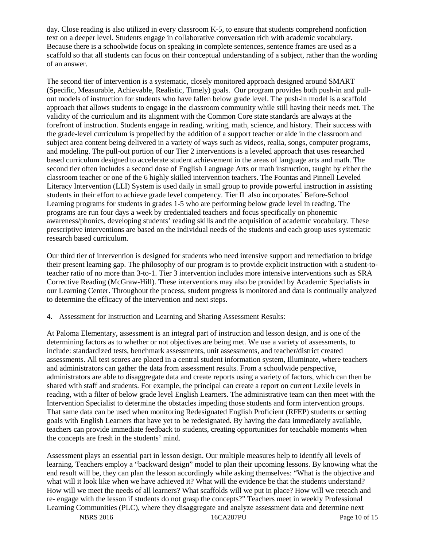day. Close reading is also utilized in every classroom K-5, to ensure that students comprehend nonfiction text on a deeper level. Students engage in collaborative conversation rich with academic vocabulary. Because there is a schoolwide focus on speaking in complete sentences, sentence frames are used as a scaffold so that all students can focus on their conceptual understanding of a subject, rather than the wording of an answer.

The second tier of intervention is a systematic, closely monitored approach designed around SMART (Specific, Measurable, Achievable, Realistic, Timely) goals. Our program provides both push-in and pullout models of instruction for students who have fallen below grade level. The push-in model is a scaffold approach that allows students to engage in the classroom community while still having their needs met. The validity of the curriculum and its alignment with the Common Core state standards are always at the forefront of instruction. Students engage in reading, writing, math, science, and history. Their success with the grade-level curriculum is propelled by the addition of a support teacher or aide in the classroom and subject area content being delivered in a variety of ways such as videos, realia, songs, computer programs, and modeling. The pull-out portion of our Tier 2 interventions is a leveled approach that uses researched based curriculum designed to accelerate student achievement in the areas of language arts and math. The second tier often includes a second dose of English Language Arts or math instruction, taught by either the classroom teacher or one of the 6 highly skilled intervention teachers. The Fountas and Pinnell Leveled Literacy Intervention (LLI) System is used daily in small group to provide powerful instruction in assisting students in their effort to achieve grade level competency. Tier II also incorporates` Before-School Learning programs for students in grades 1-5 who are performing below grade level in reading. The programs are run four days a week by credentialed teachers and focus specifically on phonemic awareness/phonics, developing students' reading skills and the acquisition of academic vocabulary. These prescriptive interventions are based on the individual needs of the students and each group uses systematic research based curriculum.

Our third tier of intervention is designed for students who need intensive support and remediation to bridge their present learning gap. The philosophy of our program is to provide explicit instruction with a student-toteacher ratio of no more than 3-to-1. Tier 3 intervention includes more intensive interventions such as SRA Corrective Reading (McGraw-Hill). These interventions may also be provided by Academic Specialists in our Learning Center. Throughout the process, student progress is monitored and data is continually analyzed to determine the efficacy of the intervention and next steps.

4. Assessment for Instruction and Learning and Sharing Assessment Results:

At Paloma Elementary, assessment is an integral part of instruction and lesson design, and is one of the determining factors as to whether or not objectives are being met. We use a variety of assessments, to include: standardized tests, benchmark assessments, unit assessments, and teacher/district created assessments. All test scores are placed in a central student information system, Illuminate, where teachers and administrators can gather the data from assessment results. From a schoolwide perspective, administrators are able to disaggregate data and create reports using a variety of factors, which can then be shared with staff and students. For example, the principal can create a report on current Lexile levels in reading, with a filter of below grade level English Learners. The administrative team can then meet with the Intervention Specialist to determine the obstacles impeding those students and form intervention groups. That same data can be used when monitoring Redesignated English Proficient (RFEP) students or setting goals with English Learners that have yet to be redesignated. By having the data immediately available, teachers can provide immediate feedback to students, creating opportunities for teachable moments when the concepts are fresh in the students' mind.

Assessment plays an essential part in lesson design. Our multiple measures help to identify all levels of learning. Teachers employ a "backward design" model to plan their upcoming lessons. By knowing what the end result will be, they can plan the lesson accordingly while asking themselves: "What is the objective and what will it look like when we have achieved it? What will the evidence be that the students understand? How will we meet the needs of all learners? What scaffolds will we put in place? How will we reteach and re- engage with the lesson if students do not grasp the concepts?" Teachers meet in weekly Professional Learning Communities (PLC), where they disaggregate and analyze assessment data and determine next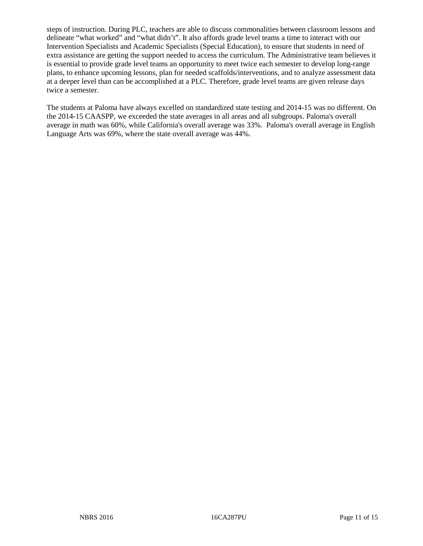steps of instruction. During PLC, teachers are able to discuss commonalities between classroom lessons and delineate "what worked" and "what didn't". It also affords grade level teams a time to interact with our Intervention Specialists and Academic Specialists (Special Education), to ensure that students in need of extra assistance are getting the support needed to access the curriculum. The Administrative team believes it is essential to provide grade level teams an opportunity to meet twice each semester to develop long-range plans, to enhance upcoming lessons, plan for needed scaffolds/interventions, and to analyze assessment data at a deeper level than can be accomplished at a PLC. Therefore, grade level teams are given release days twice a semester.

The students at Paloma have always excelled on standardized state testing and 2014-15 was no different. On the 2014-15 CAASPP, we exceeded the state averages in all areas and all subgroups. Paloma's overall average in math was 60%, while California's overall average was 33%. Paloma's overall average in English Language Arts was 69%, where the state overall average was 44%.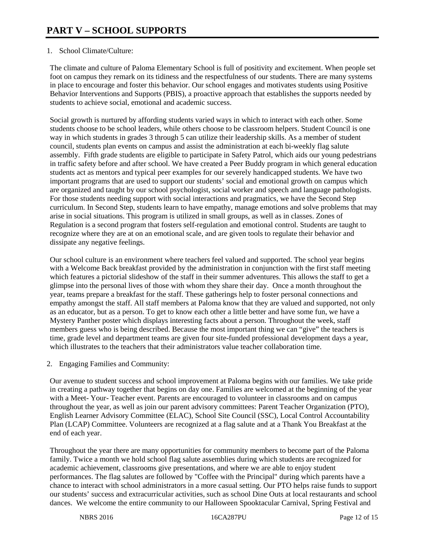### 1. School Climate/Culture:

The climate and culture of Paloma Elementary School is full of positivity and excitement. When people set foot on campus they remark on its tidiness and the respectfulness of our students. There are many systems in place to encourage and foster this behavior. Our school engages and motivates students using Positive Behavior Interventions and Supports (PBIS), a proactive approach that establishes the supports needed by students to achieve social, emotional and academic success.

Social growth is nurtured by affording students varied ways in which to interact with each other. Some students choose to be school leaders, while others choose to be classroom helpers. Student Council is one way in which students in grades 3 through 5 can utilize their leadership skills. As a member of student council, students plan events on campus and assist the administration at each bi-weekly flag salute assembly. Fifth grade students are eligible to participate in Safety Patrol, which aids our young pedestrians in traffic safety before and after school. We have created a Peer Buddy program in which general education students act as mentors and typical peer examples for our severely handicapped students. We have two important programs that are used to support our students' social and emotional growth on campus which are organized and taught by our school psychologist, social worker and speech and language pathologists. For those students needing support with social interactions and pragmatics, we have the Second Step curriculum. In Second Step, students learn to have empathy, manage emotions and solve problems that may arise in social situations. This program is utilized in small groups, as well as in classes. Zones of Regulation is a second program that fosters self-regulation and emotional control. Students are taught to recognize where they are at on an emotional scale, and are given tools to regulate their behavior and dissipate any negative feelings.

Our school culture is an environment where teachers feel valued and supported. The school year begins with a Welcome Back breakfast provided by the administration in conjunction with the first staff meeting which features a pictorial slideshow of the staff in their summer adventures. This allows the staff to get a glimpse into the personal lives of those with whom they share their day. Once a month throughout the year, teams prepare a breakfast for the staff. These gatherings help to foster personal connections and empathy amongst the staff. All staff members at Paloma know that they are valued and supported, not only as an educator, but as a person. To get to know each other a little better and have some fun, we have a Mystery Panther poster which displays interesting facts about a person. Throughout the week, staff members guess who is being described. Because the most important thing we can "give" the teachers is time, grade level and department teams are given four site-funded professional development days a year, which illustrates to the teachers that their administrators value teacher collaboration time.

2. Engaging Families and Community:

Our avenue to student success and school improvement at Paloma begins with our families. We take pride in creating a pathway together that begins on day one. Families are welcomed at the beginning of the year with a Meet- Your- Teacher event. Parents are encouraged to volunteer in classrooms and on campus throughout the year, as well as join our parent advisory committees: Parent Teacher Organization (PTO), English Learner Advisory Committee (ELAC), School Site Council (SSC), Local Control Accountability Plan (LCAP) Committee. Volunteers are recognized at a flag salute and at a Thank You Breakfast at the end of each year.

Throughout the year there are many opportunities for community members to become part of the Paloma family. Twice a month we hold school flag salute assemblies during which students are recognized for academic achievement, classrooms give presentations, and where we are able to enjoy student performances. The flag salutes are followed by "Coffee with the Principal" during which parents have a chance to interact with school administrators in a more casual setting. Our PTO helps raise funds to support our students' success and extracurricular activities, such as school Dine Outs at local restaurants and school dances. We welcome the entire community to our Halloween Spooktacular Carnival, Spring Festival and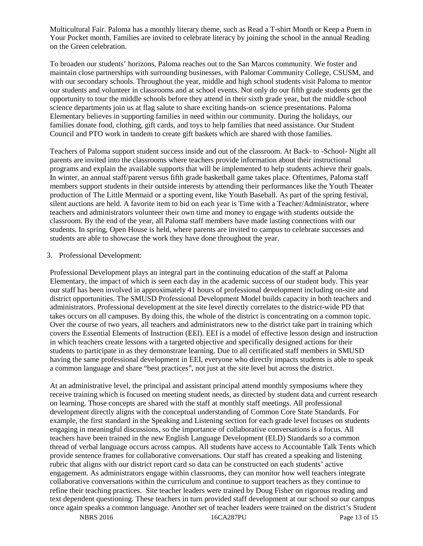Multicultural Fair. Paloma has a monthly literary theme, such as Read a T-shirt Month or Keep a Poem in Your Pocket month. Families are invited to celebrate literacy by joining the school in the annual Reading on the Green celebration.

To broaden our students' horizons, Paloma reaches out to the San Marcos community. We foster and maintain close partnerships with surrounding businesses, with Palomar Community College, CSUSM, and with our secondary schools. Throughout the year, middle and high school students visit Paloma to mentor our students and volunteer in classrooms and at school events. Not only do our fifth grade students get the opportunity to tour the middle schools before they attend in their sixth grade year, but the middle school science departments join us at flag salute to share exciting hands-on science presentations. Paloma Elementary believes in supporting families in need within our community. During the holidays, our families donate food, clothing, gift cards, and toys to help families that need assistance. Our Student Council and PTO work in tandem to create gift baskets which are shared with those families.

Teachers of Paloma support student success inside and out of the classroom. At Back- to -School- Night all parents are invited into the classrooms where teachers provide information about their instructional programs and explain the available supports that will be implemented to help students achieve their goals. In winter, an annual staff/parent versus fifth grade basketball game takes place. Oftentimes, Paloma staff members support students in their outside interests by attending their performances like the Youth Theater production of The Little Mermaid or a sporting event, like Youth Baseball. As part of the spring festival, silent auctions are held. A favorite item to bid on each year is Time with a Teacher/Administrator, where teachers and administrators volunteer their own time and money to engage with students outside the classroom. By the end of the year, all Paloma staff members have made lasting connections with our students. In spring, Open House is held, where parents are invited to campus to celebrate successes and students are able to showcase the work they have done throughout the year.

#### 3. Professional Development:

Professional Development plays an integral part in the continuing education of the staff at Paloma Elementary, the impact of which is seen each day in the academic success of our student body. This year our staff has been involved in approximately 41 hours of professional development including on-site and district opportunities. The SMUSD Professional Development Model builds capacity in both teachers and administrators. Professional development at the site level directly correlates to the district-wide PD that takes occurs on all campuses. By doing this, the whole of the district is concentrating on a common topic. Over the course of two years, all teachers and administrators new to the district take part in training which covers the Essential Elements of Instruction (EEI). EEI is a model of effective lesson design and instruction in which teachers create lessons with a targeted objective and specifically designed actions for their students to participate in as they demonstrate learning. Due to all certificated staff members in SMUSD having the same professional development in EEI, everyone who directly impacts students is able to speak a common language and share "best practices", not just at the site level but across the district.

At an administrative level, the principal and assistant principal attend monthly symposiums where they receive training which is focused on meeting student needs, as directed by student data and current research on learning. Those concepts are shared with the staff at monthly staff meetings. All professional development directly aligns with the conceptual understanding of Common Core State Standards. For example, the first standard in the Speaking and Listening section for each grade level focuses on students engaging in meaningful discussions, so the importance of collaborative conversations is a focus. All teachers have been trained in the new English Language Development (ELD) Standards so a common thread of verbal language occurs across campus. All students have access to Accountable Talk Tents which provide sentence frames for collaborative conversations. Our staff has created a speaking and listening rubric that aligns with our district report card so data can be constructed on each students' active engagement. As administrators engage within classrooms, they can monitor how well teachers integrate collaborative conversations within the curriculum and continue to support teachers as they continue to refine their teaching practices. Site teacher leaders were trained by Doug Fisher on rigorous reading and text dependent questioning. These teachers in turn provided staff development at our school so our campus once again speaks a common language. Another set of teacher leaders were trained on the district's Student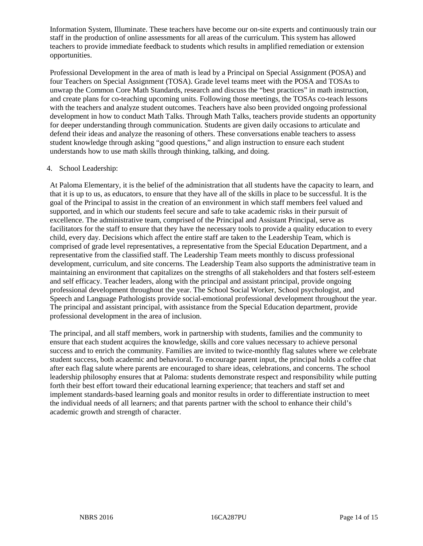Information System, Illuminate. These teachers have become our on-site experts and continuously train our staff in the production of online assessments for all areas of the curriculum. This system has allowed teachers to provide immediate feedback to students which results in amplified remediation or extension opportunities.

Professional Development in the area of math is lead by a Principal on Special Assignment (POSA) and four Teachers on Special Assignment (TOSA). Grade level teams meet with the POSA and TOSAs to unwrap the Common Core Math Standards, research and discuss the "best practices" in math instruction, and create plans for co-teaching upcoming units. Following those meetings, the TOSAs co-teach lessons with the teachers and analyze student outcomes. Teachers have also been provided ongoing professional development in how to conduct Math Talks. Through Math Talks, teachers provide students an opportunity for deeper understanding through communication. Students are given daily occasions to articulate and defend their ideas and analyze the reasoning of others. These conversations enable teachers to assess student knowledge through asking "good questions," and align instruction to ensure each student understands how to use math skills through thinking, talking, and doing.

#### 4. School Leadership:

At Paloma Elementary, it is the belief of the administration that all students have the capacity to learn, and that it is up to us, as educators, to ensure that they have all of the skills in place to be successful. It is the goal of the Principal to assist in the creation of an environment in which staff members feel valued and supported, and in which our students feel secure and safe to take academic risks in their pursuit of excellence. The administrative team, comprised of the Principal and Assistant Principal, serve as facilitators for the staff to ensure that they have the necessary tools to provide a quality education to every child, every day. Decisions which affect the entire staff are taken to the Leadership Team, which is comprised of grade level representatives, a representative from the Special Education Department, and a representative from the classified staff. The Leadership Team meets monthly to discuss professional development, curriculum, and site concerns. The Leadership Team also supports the administrative team in maintaining an environment that capitalizes on the strengths of all stakeholders and that fosters self-esteem and self efficacy. Teacher leaders, along with the principal and assistant principal, provide ongoing professional development throughout the year. The School Social Worker, School psychologist, and Speech and Language Pathologists provide social-emotional professional development throughout the year. The principal and assistant principal, with assistance from the Special Education department, provide professional development in the area of inclusion.

The principal, and all staff members, work in partnership with students, families and the community to ensure that each student acquires the knowledge, skills and core values necessary to achieve personal success and to enrich the community. Families are invited to twice-monthly flag salutes where we celebrate student success, both academic and behavioral. To encourage parent input, the principal holds a coffee chat after each flag salute where parents are encouraged to share ideas, celebrations, and concerns. The school leadership philosophy ensures that at Paloma: students demonstrate respect and responsibility while putting forth their best effort toward their educational learning experience; that teachers and staff set and implement standards-based learning goals and monitor results in order to differentiate instruction to meet the individual needs of all learners; and that parents partner with the school to enhance their child's academic growth and strength of character.